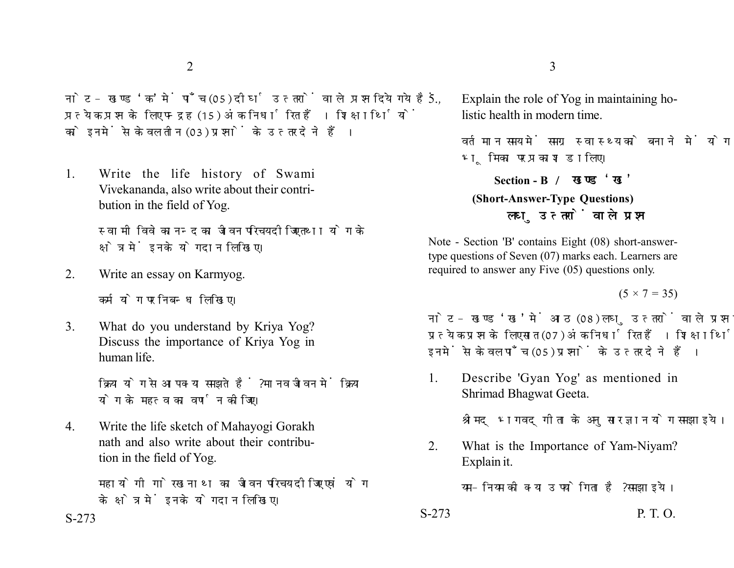नोट- खण्ड 'क' में पाँच (05) दीर्घ उत्तरों वाले प्रश्न दिये गये हैं. प्रत्येक प्रश्न के लिए पन्द्रह (15) अंक निर्धारित हैं। शिक्षार्थियों को इनमें से केवल तीन (03) प्रश्नों के उत्तर देने हैं।

1. Write the life history of Swami Vivekananda, also write about their contribution in the field of Yog.

> स्वामी विवेकानन्द का जीवन परिचय दीजिए तथा योग के क्षेत्र में इनके योगदान लिखिए।

2. Write an essay on Karmyog.

कर्मयोग पर निबन्ध लिखिए।

3. What do you understand by Kriya Yog? Discuss the importance of Kriya Yog in human life.

> क्रिया योग से आप क्या समझते हैं ? मानव जीवन में क्रिया योग के महत्व का वर्णन कोजिए।

4. Write the life sketch of Mahayogi Gorakh nath and also write about their contribution in the field of Yog.

> महायोगी गोरखनाथ का जीवन परिचय दीजिए एवं योग के क्षेत्र में इनके योगदान लिखिए।

- $2\overline{3}$ 
	- 5. Explain the role of Yog in maintaining holistic health in modern time.

वर्तमान समय में समग्र स्वास्थ्य को बनाने में योग की भूमिका पर प्रकाश डालिए।

**Section - B** 

## **(Short-Answer-Type Questions)** लघ उत्तरों वाले प्रश्न

Note - Section 'B' contains Eight (08) short-answertype questions of Seven (07) marks each. Learners are required to answer any Five (05) questions only.

 $(5 \times 7 = 35)$ 

नोट- खण्ड 'ख' में आठ (08) लघु उत्तरों वाले प्रश्न दिये गये हैं. प्रत्येक प्रश्न के लिए सात (07) अंक निर्धारित हैं। शिक्षार्थियों को इनमें से केवल पाँच (05) प्रश्नों के उत्तर देने हैं।

1. Describe 'Gyan Yog' as mentioned in Shrimad Bhagwat Geeta.

श्रीमद् भगवदगीता के अनुसार ज्ञान योग समझाइये।

2. What is the Importance of Yam-Niyam? Explain it.

यम-नियम की क्या उपयोगिता है? समझाइये।

 $S-273$  P. T. O.